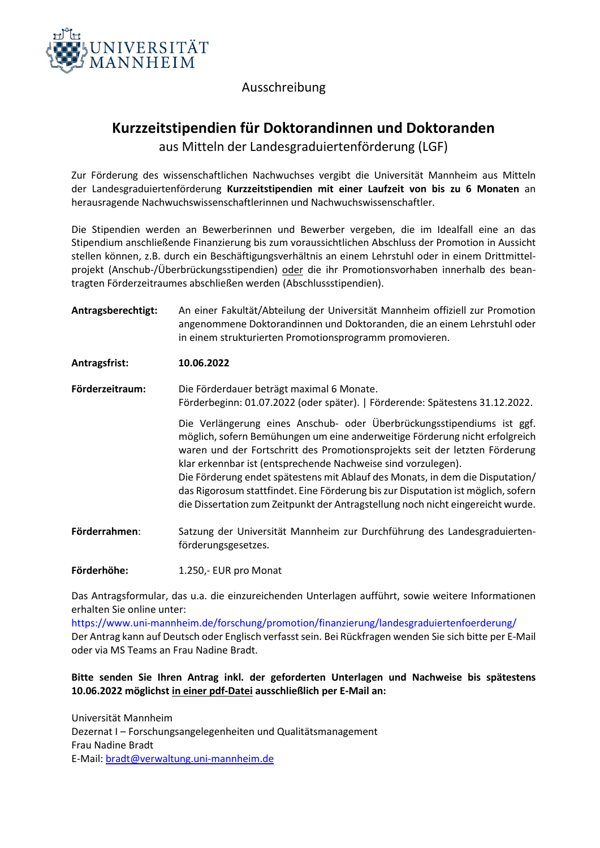

### Ausschreibung

## **Kurzzeitstipendien für Doktorandinnen und Doktoranden** aus Mitteln der Landesgraduiertenförderung (LGF)

Zur Förderung des wissenschaftlichen Nachwuchses vergibt die Universität Mannheim aus Mitteln der Landesgraduiertenförderung **Kurzzeitstipendien mit einer Laufzeit von bis zu 6 Monaten** an herausragende Nachwuchswissenschaftlerinnen und Nachwuchswissenschaftler.

Die Stipendien werden an Bewerberinnen und Bewerber vergeben, die im Idealfall eine an das Stipendium anschließende Finanzierung bis zum voraussichtlichen Abschluss der Promotion in Aussicht stellen können, z.B. durch ein Beschäftigungsverhältnis an einem Lehrstuhl oder in einem Drittmittelprojekt (Anschub-/Überbrückungsstipendien) oder die ihr Promotionsvorhaben innerhalb des beantragten Förderzeitraumes abschließen werden (Abschlussstipendien).

**Antragsberechtigt:** An einer Fakultät/Abteilung der Universität Mannheim offiziell zur Promotion angenommene Doktorandinnen und Doktoranden, die an einem Lehrstuhl oder in einem strukturierten Promotionsprogramm promovieren.

**Antragsfrist: 10.06.2022**

**Förderzeitraum:** Die Förderdauer beträgt maximal 6 Monate. Förderbeginn: 01.07.2022 (oder später). | Förderende: Spätestens 31.12.2022.

> Die Verlängerung eines Anschub- oder Überbrückungsstipendiums ist ggf. möglich, sofern Bemühungen um eine anderweitige Förderung nicht erfolgreich waren und der Fortschritt des Promotionsprojekts seit der letzten Förderung klar erkennbar ist (entsprechende Nachweise sind vorzulegen). Die Förderung endet spätestens mit Ablauf des Monats, in dem die Disputation/ das Rigorosum stattfindet. Eine Förderung bis zur Disputation ist möglich, sofern die Dissertation zum Zeitpunkt der Antragstellung noch nicht eingereicht wurde.

**Förderrahmen**: Satzung der Universität Mannheim zur Durchführung des Landesgraduiertenförderungsgesetzes.

**Förderhöhe:** 1.250,- EUR pro Monat

Das Antragsformular, das u.a. die einzureichenden Unterlagen aufführt, sowie weitere Informationen erhalten Sie online unter:

<https://www.uni-mannheim.de/forschung/promotion/finanzierung/landesgraduiertenfoerderung/> Der Antrag kann auf Deutsch oder Englisch verfasst sein. Bei Rückfragen wenden Sie sich bitte per E-Mail oder via MS Teams an Frau Nadine Bradt.

### **Bitte senden Sie Ihren Antrag inkl. der geforderten Unterlagen und Nachweise bis spätestens 10.06.2022 möglichst in einer pdf-Datei ausschließlich per E-Mail an:**

Universität Mannheim Dezernat I – Forschungsangelegenheiten und Qualitätsmanagement Frau Nadine Bradt E-Mail: [bradt@verwaltung.uni-mannheim.de](mailto:bradt@verwaltung.uni-mannheim.de)